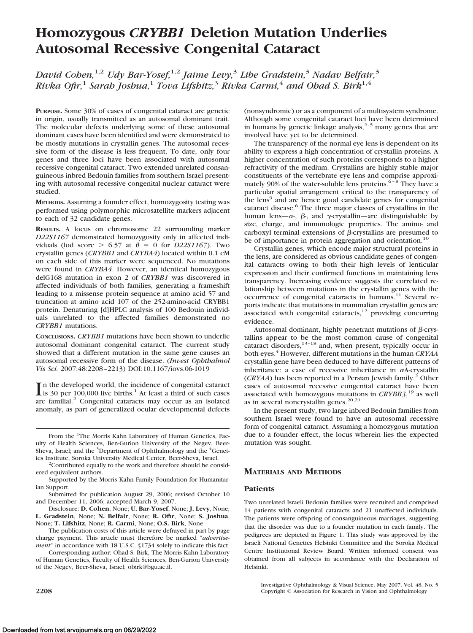# **Homozygous** *CRYBB1* **Deletion Mutation Underlies Autosomal Recessive Congenital Cataract**

*David Cohen,*1,2 *Udy Bar-Yosef,*1,2 *Jaime Levy,*<sup>3</sup> *Libe Gradstein,*<sup>3</sup> *Nadav Belfair,*<sup>3</sup> *Rivka Ofir,*<sup>1</sup> *Sarah Joshua,*<sup>1</sup> *Tova Lifshitz,*<sup>3</sup> *Rivka Carmi,*<sup>4</sup> *and Ohad S. Birk*1,4

**PURPOSE.** Some 30% of cases of congenital cataract are genetic in origin, usually transmitted as an autosomal dominant trait. The molecular defects underlying some of these autosomal dominant cases have been identified and were demonstrated to be mostly mutations in crystallin genes. The autosomal recessive form of the disease is less frequent. To date, only four genes and three loci have been associated with autosomal recessive congenital cataract. Two extended unrelated consanguineous inbred Bedouin families from southern Israel presenting with autosomal recessive congenital nuclear cataract were studied.

**METHODS.** Assuming a founder effect, homozygosity testing was performed using polymorphic microsatellite markers adjacent to each of 32 candidate genes.

**RESULTS.** A locus on chromosome 22 surrounding marker *D22S1167* demonstrated homozygosity only in affected individuals (lod score  $> 6.57$  at  $\theta = 0$  for *D22S1167*). Two crystallin genes (*CRYBB1* and *CRYBA4*) located within 0.1 cM on each side of this marker were sequenced. No mutations were found in *CRYBA4*. However, an identical homozygous delG168 mutation in exon 2 of *CRYBB1* was discovered in affected individuals of both families, generating a frameshift leading to a missense protein sequence at amino acid 57 and truncation at amino acid 107 of the 252-amino-acid CRYBB1 protein. Denaturing [d]HPLC analysis of 100 Bedouin individuals unrelated to the affected families demonstrated no *CRYBB1* mutations.

**CONCLUSIONS.** *CRYBB1* mutations have been shown to underlie autosomal dominant congenital cataract. The current study showed that a different mutation in the same gene causes an autosomal recessive form of the disease. (*Invest Ophthalmol Vis Sci.* 2007;48:2208 –2213) DOI:10.1167/iovs.06-1019

In the developed world, the incidence of congenital cataract<br>is 30 per 100,000 live births.<sup>1</sup> At least a third of such cases<br>are femilial  $\frac{2}{3}$  Congenital attacts and pure included are familial.<sup>2</sup> Congenital cataracts may occur as an isolated anomaly, as part of generalized ocular developmental defects

From the <sup>1</sup>The Morris Kahn Laboratory of Human Genetics, Faculty of Health Sciences, Ben-Gurion University of the Negev, Beer-Sheva, Israel; and the <sup>3</sup>Department of Ophthalmology and the <sup>4</sup>Genetics Institute, Soroka University Medical Center, Beer-Sheva, Israel. <sup>2</sup>

 $2$ Contributed equally to the work and therefore should be considered equivalent authors.

Supported by the Morris Kahn Family Foundation for Humanitarian Support.

Submitted for publication August 29, 2006; revised October 10 and December 11, 2006; accepted March 9, 2007.

Disclosure: **D. Cohen**, None; **U. Bar-Yosef**, None; **J. Levy**, None; **L. Gradstein**, None; **N. Belfair**, None; **R. Ofir**, None; **S. Joshua**, None; **T. Lifshitz**, None; **R. Carmi**, None; **O.S. Birk**, None

The publication costs of this article were defrayed in part by page charge payment. This article must therefore be marked "*advertisement*" in accordance with 18 U.S.C. §1734 solely to indicate this fact.

Corresponding author: Ohad S. Birk, The Morris Kahn Laboratory of Human Genetics, Faculty of Health Sciences, Ben-Gurion University of the Negev, Beer-Sheva, Israel; obirk@bgu.ac.il.

(nonsyndromic) or as a component of a multisystem syndrome. Although some congenital cataract loci have been determined in humans by genetic linkage analysis, $2-5$  many genes that are involved have yet to be determined.

The transparency of the normal eye lens is dependent on its ability to express a high concentration of crystallin proteins. A higher concentration of such proteins corresponds to a higher refractivity of the medium. Crystallins are highly stable major constituents of the vertebrate eye lens and comprise approximately 90% of the water-soluble lens proteins.<sup>6-8</sup> They have a particular spatial arrangement critical to the transparency of the lens<sup>9</sup> and are hence good candidate genes for congenital cataract disease.6 The three major classes of crystallins in the human lens— $\alpha$ -,  $\beta$ -, and  $\gamma$ -crystallin—are distinguishable by size, charge, and immunologic properties. The amino- and carboxyl terminal extensions of  $\beta$ -crystallins are presumed to be of importance in protein aggregation and orientation.<sup>10</sup>

Crystallin genes, which encode major structural proteins in the lens, are considered as obvious candidate genes of congenital cataracts owing to both their high levels of lenticular expression and their confirmed functions in maintaining lens transparency. Increasing evidence suggests the correlated relationship between mutations in the crystallin genes with the occurrence of congenital cataracts in humans.11 Several reports indicate that mutations in mammalian crystallin genes are associated with congenital cataracts, $12$  providing concurring evidence.

Autosomal dominant, highly penetrant mutations of  $\beta$ -crystallins appear to be the most common cause of congenital cataract disorders,<sup>13–18</sup> and, when present, typically occur in both eyes.4 However, different mutations in the human *CRYAA* crystallin gene have been deduced to have different patterns of inheritance: a case of recessive inheritance in  $\alpha$ A-crystallin (*CRYAA*) has been reported in a Persian Jewish family.2 Other cases of autosomal recessive congenital cataract have been associated with homozygous mutations in *CRYBB3*, <sup>19</sup> as well as in several noncrystallin genes.<sup>20,21</sup>

In the present study, two large inbred Bedouin families from southern Israel were found to have an autosomal recessive form of congenital cataract. Assuming a homozygous mutation due to a founder effect, the locus wherein lies the expected mutation was sought.

# **MATERIALS AND METHODS**

## **Patients**

Two unrelated Israeli Bedouin families were recruited and comprised 14 patients with congenital cataracts and 21 unaffected individuals. The patients were offspring of consanguineous marriages, suggesting that the disorder was due to a founder mutation in each family. The pedigrees are depicted in Figure 1. This study was approved by the Israeli National Genetics Helsinki Committee and the Soroka Medical Centre Institutional Review Board. Written informed consent was obtained from all subjects in accordance with the Declaration of Helsinki.

Investigative Ophthalmology & Visual Science, May 2007, Vol. 48, No. 5 **2208** Copyright © Association for Research in Vision and Ophthalmology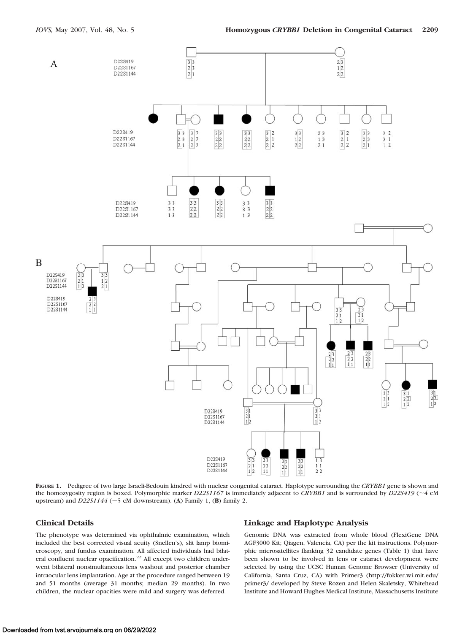

**FIGURE 1.** Pedigree of two large Israeli-Bedouin kindred with nuclear congenital cataract. Haplotype surrounding the *CRYBB1* gene is shown and the homozygosity region is boxed. Polymorphic marker *D22S1167* is immediately adjacent to *CRYBB1* and is surrounded by *D22S419* (~4 cM upstream) and  $D22S1144$  ( $\sim$ 5 cM downstream). (A) Family 1, (B) family 2.

## **Clinical Details**

The phenotype was determined via ophthalmic examination, which included the best corrected visual acuity (Snellen's), slit lamp biomicroscopy, and fundus examination. All affected individuals had bilateral confluent nuclear opacification.<sup>22</sup> All except two children underwent bilateral nonsimultaneous lens washout and posterior chamber intraocular lens implantation. Age at the procedure ranged between 19 and 51 months (average 31 months; median 29 months). In two children, the nuclear opacities were mild and surgery was deferred.

# **Linkage and Haplotype Analysis**

Genomic DNA was extracted from whole blood (FlexiGene DNA AGF3000 Kit; Qiagen, Valencia, CA) per the kit instructions. Polymorphic microsatellites flanking 32 candidate genes (Table 1) that have been shown to be involved in lens or cataract development were selected by using the UCSC Human Genome Browser (University of California, Santa Cruz, CA) with Primer3 (http://fokker.wi.mit.edu/ primer3/ developed by Steve Rozen and Helen Skaletsky, Whitehead Institute and Howard Hughes Medical Institute, Massachusetts Institute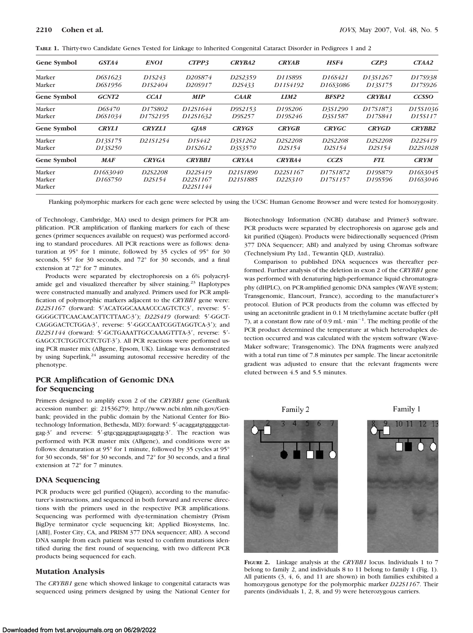|  |  |  |  | TABLE 1. Thirty-two Candidate Genes Tested for Linkage to Inherited Congenital Cataract Disorder in Pedigrees 1 and 2 |  |  |  |
|--|--|--|--|-----------------------------------------------------------------------------------------------------------------------|--|--|--|
|--|--|--|--|-----------------------------------------------------------------------------------------------------------------------|--|--|--|

| <b>Gene Symbol</b> | GSTA4                | ENO1          | CTPP3                | <b>CRYBA2</b>       | <b>CRYAB</b>  | HSF4         | CZP3          | CTAA2         |
|--------------------|----------------------|---------------|----------------------|---------------------|---------------|--------------|---------------|---------------|
| Marker             | D6S1623              | D1S243        | D20S874              | D2S2359             | D11S89S       | D16S421      | D13S1267      | D17S938       |
| Marker             | D6S1956              | D1S2404       | D20S917              | D <sub>2</sub> S433 | D11S4192      | D16S3086     | D13S175       | D17S926       |
| Gene Symbol        | GCNT <sub>2</sub>    | CCA1          | <b>MIP</b>           | $C\!AR$             | LIM2          | <b>BFSP2</b> | <b>CRYBA1</b> | <b>CCSSO</b>  |
| Marker             | D6S470               | D17S802       | D12S1644             | D9S2153             | D19S206       | D3S1290      | D17S1873      | D15S1036      |
| Marker             | D6S1034              | D17S2195      | D12S1632             | D9S257              | D19S246       | D3S1587      | D17S841       | D15S117       |
| Gene Symbol        | <b>CRYL1</b>         | <b>CRYZL1</b> | GIA8                 | <b>CRYGS</b>        | <b>CRYGB</b>  | <b>CRYGC</b> | <b>CRYGD</b>  | <b>CRYBB2</b> |
| Marker             | D13S175              | D21S1254      | D1S442               | D3S1262             | D2S2208       | D2S2208      | D2S2208       | D22S419       |
| Marker             | D13S250              |               | D1S2612              | D3S3570             | D2S154        | D2S154       | D2S154        | D22S1028      |
| Gene Symbol        | <b>MAF</b>           | <b>CRYGA</b>  | <b>CRYBB1</b>        | <b>CRYAA</b>        | <b>CRYBA4</b> | <b>CCZS</b>  | <b>FTL</b>    | <b>CRYM</b>   |
| Marker             | D16S3040             | D2S2208       | D22S419              | D21S1890            | D22S1167      | D17S1872     | D19S879       | D16S3045      |
| Marker<br>Marker   | D <sub>16</sub> S750 | D2S154        | D22S1167<br>D22S1144 | D21S1885            | D22S310       | D17S1157     | D19S596       | D16S3046      |

Flanking polymorphic markers for each gene were selected by using the UCSC Human Genome Browser and were tested for homozygosity.

of Technology, Cambridge, MA) used to design primers for PCR amplification. PCR amplification of flanking markers for each of these genes (primer sequences available on request) was performed according to standard procedures. All PCR reactions were as follows: denaturation at 95° for 1 minute, followed by 35 cycles of 95° for 30 seconds, 55° for 30 seconds, and 72° for 30 seconds, and a final extension at 72° for 7 minutes.

Products were separated by electrophoresis on a 6% polyacrylamide gel and visualized thereafter by silver staining.<sup>23</sup> Haplotypes were constructed manually and analyzed. Primers used for PCR amplification of polymorphic markers adjacent to the *CRYBB1* gene were: D22S1167 (forward: 5'ACATGGCAAAACCCAGTCTC3', reverse: 5'-GGGGCTTCAACAACATTCTTAAC-3');  $D22S419$  (forward: 5'-GGCT-CAGGGACTCTGGA-3', reverse: 5'-GGCCAATCGGTAGGTCA-3'); and *D22S1144* (forward: 5'-GCTGAAATTGCCAAAGTTTA-3', reverse: 5'-GAGCCTCTGGTCCTCTGT-3'). All PCR reactions were performed using PCR master mix (ABgene, Epsom, UK). Linkage was demonstrated by using Superlink,<sup>24</sup> assuming autosomal recessive heredity of the phenotype.

## **PCR Amplification of Genomic DNA for Sequencing**

Primers designed to amplify exon 2 of the *CRYBB1* gene (GenBank accession number: gi: 21536279; http://www.ncbi.nlm.nih.gov/Genbank; provided in the public domain by the National Center for Biotechnology Information, Bethesda, MD): forward: 5'-acaggatgtggggctatgag- $3'$  and reverse:  $5'$ -gtgcggaggagtaagaggtg- $3'$ . The reaction was performed with PCR master mix (ABgene), and conditions were as follows: denaturation at 95° for 1 minute, followed by 35 cycles at 95° for 30 seconds, 58° for 30 seconds, and 72° for 30 seconds, and a final extension at 72° for 7 minutes.

## **DNA Sequencing**

PCR products were gel purified (Qiagen), according to the manufacturer's instructions, and sequenced in both forward and reverse directions with the primers used in the respective PCR amplifications. Sequencing was performed with dye-termination chemistry (Prism BigDye terminator cycle sequencing kit; Applied Biosystems, Inc. [ABI], Foster City, CA, and PRISM 377 DNA sequencer; ABI). A second DNA sample from each patient was tested to confirm mutations identified during the first round of sequencing, with two different PCR products being sequenced for each.

## **Mutation Analysis**

The *CRYBB1* gene which showed linkage to congenital cataracts was sequenced using primers designed by using the National Center for

Biotechnology Information (NCBI) database and Primer3 software. PCR products were separated by electrophoresis on agarose gels and kit purified (Qiagen). Products were bidirectionally sequenced (Prism 377 DNA Sequencer; ABI) and analyzed by using Chromas software (Technelysium Pty Ltd., Tewantin QLD, Australia).

Comparison to published DNA sequences was thereafter performed. Further analysis of the deletion in exon 2 of the *CRYBB1* gene was performed with denaturing high-performance liquid chromatography (dHPLC), on PCR-amplified genomic DNA samples (WAVE system; Transgenomic, Elancourt, France), according to the manufacturer's protocol. Elution of PCR products from the column was effected by using an acetonitrile gradient in 0.1 M triethylamine acetate buffer (pH 7), at a constant flow rate of 0.9 mL $\cdot$  min<sup>-1</sup>. The melting profile of the PCR product determined the temperature at which heteroduplex detection occurred and was calculated with the system software (Wave-Maker software; Transgenomic). The DNA fragments were analyzed with a total run time of 7.8 minutes per sample. The linear acetonitrile gradient was adjusted to ensure that the relevant fragments were eluted between 4.5 and 5.5 minutes.



**FIGURE 2.** Linkage analysis at the *CRYBB1* locus. Individuals 1 to 7 belong to family 2, and individuals 8 to 11 belong to family 1 (Fig. 1). All patients (3, 4, 6, and 11 are shown) in both families exhibited a homozygous genotype for the polymorphic marker *D22S1167*. Their parents (individuals 1, 2, 8, and 9) were heterozygous carriers.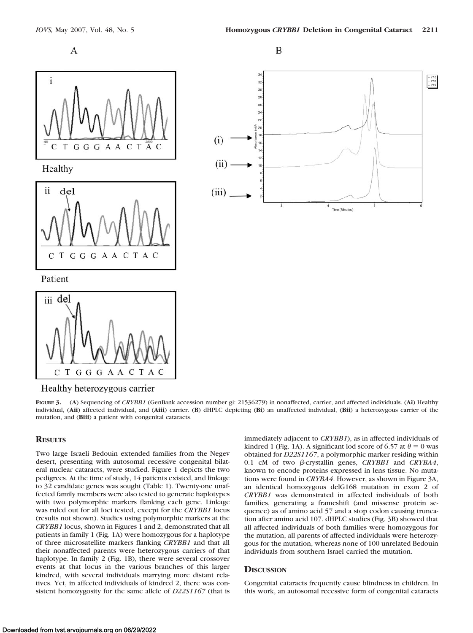





Healthy heterozygous carrier

GGGAACTA

**FIGURE 3.** (**A**) Sequencing of *CRYBB1* (GenBank accession number gi: 21536279) in nonaffected, carrier, and affected individuals. (**Ai**) Healthy individual, (**Aii**) affected individual, and (**Aiii**) carrier. (**B**) dHPLC depicting (**Bi**) an unaffected individual, (**Bii**) a heterozygous carrier of the mutation, and (**Biii**) a patient with congenital cataracts.

# **RESULTS**

 $\mathbf C$  $T$ 

Two large Israeli Bedouin extended families from the Negev desert, presenting with autosomal recessive congenital bilateral nuclear cataracts, were studied. Figure 1 depicts the two pedigrees. At the time of study, 14 patients existed, and linkage to 32 candidate genes was sought (Table 1). Twenty-one unaffected family members were also tested to generate haplotypes with two polymorphic markers flanking each gene. Linkage was ruled out for all loci tested, except for the *CRYBB1* locus (results not shown). Studies using polymorphic markers at the *CRYBB1* locus, shown in Figures 1 and 2, demonstrated that all patients in family 1 (Fig. 1A) were homozygous for a haplotype of three microsatellite markers flanking *CRYBB1* and that all their nonaffected parents were heterozygous carriers of that haplotype. In family 2 (Fig. 1B), there were several crossover events at that locus in the various branches of this larger kindred, with several individuals marrying more distant relatives. Yet, in affected individuals of kindred 2, there was consistent homozygosity for the same allele of *D22S1167* (that is

immediately adjacent to *CRYBB1*), as in affected individuals of kindred 1 (Fig. 1A). A significant lod score of 6.57 at  $\theta = 0$  was obtained for *D22S1167*, a polymorphic marker residing within 0.1 cM of two  $\beta$ -crystallin genes, *CRYBB1* and *CRYBA4*, known to encode proteins expressed in lens tissue. No mutations were found in *CRYBA4*. However, as shown in Figure 3A, an identical homozygous delG168 mutation in exon 2 of *CRYBB1* was demonstrated in affected individuals of both families, generating a frameshift (and missense protein sequence) as of amino acid 57 and a stop codon causing truncation after amino acid 107. dHPLC studies (Fig. 3B) showed that all affected individuals of both families were homozygous for the mutation, all parents of affected individuals were heterozygous for the mutation, whereas none of 100 unrelated Bedouin individuals from southern Israel carried the mutation.

## **DISCUSSION**

Congenital cataracts frequently cause blindness in children. In this work, an autosomal recessive form of congenital cataracts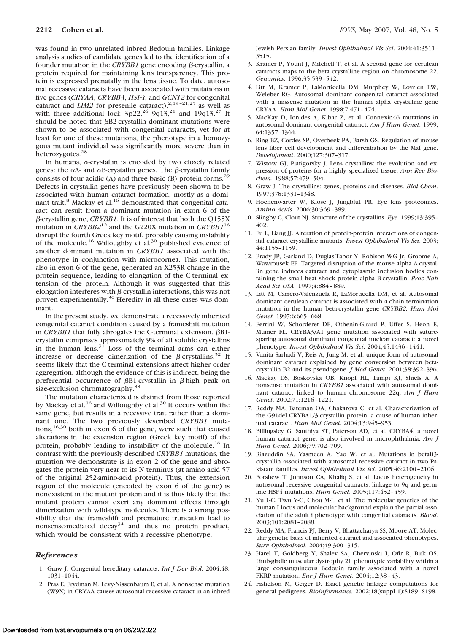was found in two unrelated inbred Bedouin families. Linkage analysis studies of candidate genes led to the identification of a founder mutation in the *CRYBB1* gene encoding  $\beta$ -crystallin, a protein required for maintaining lens transparency. This protein is expressed prenatally in the lens tissue. To date, autosomal recessive cataracts have been associated with mutations in five genes (*CRYAA*, *CRYBB3*, *HSF4*, and *GCNT2* for congenital cataract and  $LIM2$  for presenile cataract),<sup>2,19-21,25</sup> as well as with three additional loci:  $3p22$ ,<sup>26</sup> 9q13,<sup>21</sup> and 19q13.<sup>27</sup> It should be noted that  $\beta$ B2-crystallin dominant mutations were shown to be associated with congenital cataracts, yet for at least for one of these mutations, the phenotype in a homozygous mutant individual was significantly more severe than in heterozygotes.<sup>28</sup>

In humans,  $\alpha$ -crystallin is encoded by two closely related genes: the  $\alpha$ A- and  $\alpha$ B-crystallin genes. The  $\beta$ -crystallin family consists of four acidic (A) and three basic (B) protein forms.<sup>29</sup> Defects in crystallin genes have previously been shown to be associated with human cataract formation, mostly as a dominant trait.<sup>8</sup> Mackay et al.<sup>16</sup> demonstrated that congenital cataract can result from a dominant mutation in exon 6 of the β-crystallin gene, *CRYBB1*. It is of interest that both the Q155X mutation in *CRYBB2*<sup>12</sup> and the G220X mutation in *CRYBB1*<sup>16</sup> disrupt the fourth Greek key motif, probably causing instability of the molecule.16 Willoughby et al.30 published evidence of another dominant mutation in *CRYBB1* associated with the phenotype in conjunction with microcornea. This mutation, also in exon 6 of the gene, generated an X253R change in the protein sequence, leading to elongation of the C-terminal extension of the protein. Although it was suggested that this elongation interferes with  $\beta$ -crystallin interactions, this was not proven experimentally.30 Heredity in all these cases was dominant.

In the present study, we demonstrate a recessively inherited congenital cataract condition caused by a frameshift mutation in *CRYBB1* that fully abrogates the C-terminal extension.  $\beta$ B1crystallin comprises approximately 9% of all soluble crystallins in the human lens.<sup>31</sup> Loss of the terminal arms can either increase or decrease dimerization of the  $\beta$ -crystallins.<sup>32</sup> It seems likely that the C-terminal extensions affect higher order aggregation, although the evidence of this is indirect, being the preferential occurrence of  $\beta$ B1-crystallin in  $\beta$ -high peak on size-exclusion chromatography.<sup>33</sup>

The mutation characterized is distinct from those reported by Mackay et al.<sup>16</sup> and Willoughby et al.<sup>30</sup> It occurs within the same gene, but results in a recessive trait rather than a dominant one. The two previously described *CRYBB1* mutations,16,30 both in exon 6 of the gene, were such that caused alterations in the extension region (Greek key motif) of the protein, probably leading to instability of the molecule.<sup>16</sup> In contrast with the previously described *CRYBB1* mutations, the mutation we demonstrate is in exon 2 of the gene and abrogates the protein very near to its N terminus (at amino acid 57 of the original 252-amino-acid protein). Thus, the extension region of the molecule (encoded by exon 6 of the gene) is nonexistent in the mutant protein and it is thus likely that the mutant protein cannot exert any dominant effects through dimerization with wild-type molecules. There is a strong possibility that the frameshift and premature truncation lead to nonsense-mediated decay<sup>34</sup> and thus no protein product, which would be consistent with a recessive phenotype.

#### *References*

- 1. Graw J. Congenital hereditary cataracts. *Int J Dev Biol*. 2004;48: 1031–1044.
- 2. Pras E, Frydman M, Levy-Nissenbaum E, et al. A nonsense mutation (W9X) in CRYAA causes autosomal recessive cataract in an inbred

Jewish Persian family. *Invest Ophthalmol Vis Sci*. 2004;41:3511– 3515.

- 3. Kramer P, Yount J, Mitchell T, et al. A second gene for cerulean cataracts maps to the beta crystalline region on chromosome 22. *Genomics*. 1996;35:539 –542.
- 4. Litt M, Kramer P, LaMorticella DM, Murphey W, Lovrien EW, Weleber RG. Autosomal dominant congenital cataract associated with a missense mutation in the human alpha crystalline gene CRYAA. *Hum Mol Genet.* 1998;7:471– 474.
- 5. MacKay D, Ionides A, Kibar Z, et al. Connexin46 mutations in autosomal dominant congenital cataract. *Am J Hum Genet*. 1999; 64:1357–1364.
- 6. Ring BZ, Cordes SP, Overbeek PA, Barsh GS. Regulation of mouse lens fiber cell development and differentiation by the Maf gene. *Development*. 2000;127:307–317.
- 7. Wistow GJ, Piatigorsky J. Lens crystallins: the evolution and expression of proteins for a highly specialized tissue. *Ann Rev Biochem*. 1988;57:479 –504.
- 8. Graw J. The crystallins: genes, proteins and diseases. *Biol Chem*. 1997;378:1331–1348.
- 9. Hoehenwarter W, Klose J, Jungblut PR. Eye lens proteomics. *Amino Acids*. 2006;30:369 –389.
- 10. Slingby C, Clout NJ. Structure of the crystallins. *Eye*. 1999;13:395– 402.
- 11. Fu L, Liang JJ. Alteration of protein-protein interactions of congenital cataract crystalline mutants. *Invest Ophthalmol Vis Sci*. 2003; 44:1155–1159.
- 12. Brady JP, Garland D, Duglas-Tabor Y, Robison WG Jr, Groome A, Wawrousek EF. Targeted disruption of the mouse alpha A-crystallin gene induces cataract and cytoplasmic inclusion bodies containing the small heat shock protein alpha B-crystallin. *Proc Natl Acad Sci USA*. 1997;4:884 – 889.
- 13. Litt M, Carrero-Valenzuela R, LaMorticella DM, et al. Autosomal dominant cerulean cataract is associated with a chain termination mutation in the human beta-crystallin gene *CRYBB2. Hum Mol Genet.* 1997;6:665– 668.
- 14. Ferrini W, Schorderet DF, Othenin-Girard P, Uffer S, Heon E, Munier FL. CRYBA3/A1 gene mutation associated with suturesparing autosomal dominant congenital nuclear cataract: a novel phenotype. *Invest Ophthalmol Vis Sci*. 2004;45:1436 –1441.
- 15. Vanita Sarhadi V, Reis A, Jung M, et al. unique form of autosomal dominant cataract explained by gene conversion between betacrystallin B2 and its pseudogene. *J Med Genet*. 2001;38:392–396.
- 16. Mackay DS, Boskovska OB, Knopf HL, Lampi KJ, Shiels A. A nonsense mutation in *CRYBB1* associated with autosomal dominant cataract linked to human chromosome 22q. *Am J Hum Genet*. 2002;71:1216 –1221.
- 17. Reddy MA, Bateman OA, Chakarova C, et al. Characterization of the G91del CRYBA1/3-crystallin protein: a cause of human inherited cataract. *Hum Mol Genet.* 2004;13:945–953.
- 18. Billingsley G, Santhiya ST, Paterson AD, et al. CRYBA4, a novel human cataract gene, is also involved in microphthalmia. *Am J Hum Genet.* 2006;79:702–709.
- 19. Riazuddin SA, Yasmeen A, Yao W, et al. Mutations in betaB3 crystallin associated with autosomal recessive cataract in two Pakistani families. *Invest Ophthalmol Vis Sci*. 2005;46:2100 –2106.
- 20. Forshew T, Johnson CA, Khaliq S, et al. Locus heterogeneity in autosomal recessive congenital cataracts: linkage to 9q and germline HSF4 mutations. *Hum Genet.* 2005;117:452– 459.
- 21. Yu L-C, Twu Y-C, Chou M-L, et al. The molecular genetics of the human I locus and molecular background explain the partial association of the adult i phenotype with congenital cataracts. *Blood*. 2003;101:2081–2088.
- 22. Reddy MA, Francis PJ, Berry V, Bhattacharya SS, Moore AT. Molecular genetic basis of inherited cataract and associated phenotypes. *Surv Ophthalmol*. 2004;49:300 –315.
- 23. Harel T, Goldberg Y, Shalev SA, Chervinski I, Ofir R, Birk OS. Limb-girdle muscular dystrophy 2I: phenotypic variability within a large consanguineous Bedouin family associated with a novel FKRP mutation. *Eur J Hum Genet*. 2004;12:38 – 43.
- 24. Fishelson M, Geiger D. Exact genetic linkage computations for general pedigrees. *Bioinformatics.* 2002;18(suppl 1):S189 –S198.